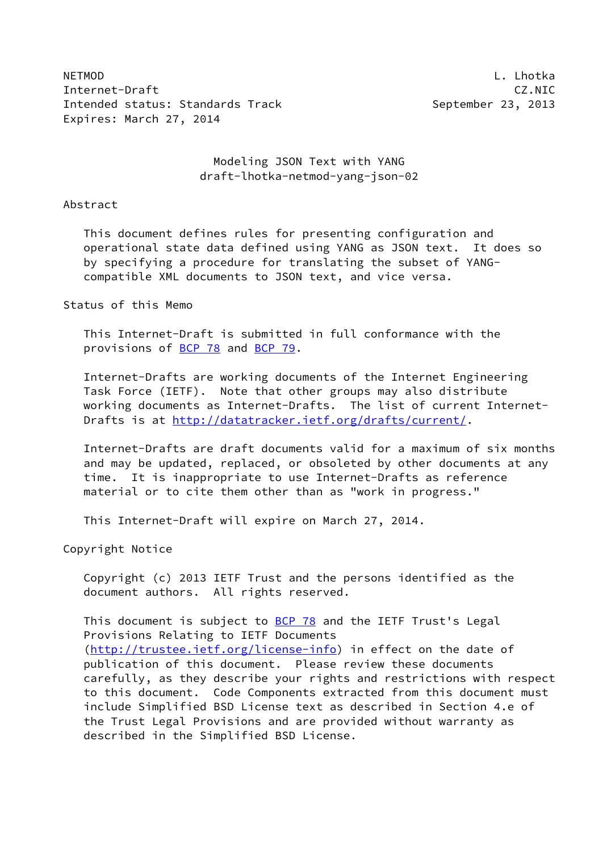NETMOD L. Lhotka Internet-Draft CZ.NIC Intended status: Standards Track September 23, 2013 Expires: March 27, 2014

## Modeling JSON Text with YANG draft-lhotka-netmod-yang-json-02

#### Abstract

 This document defines rules for presenting configuration and operational state data defined using YANG as JSON text. It does so by specifying a procedure for translating the subset of YANG compatible XML documents to JSON text, and vice versa.

## Status of this Memo

 This Internet-Draft is submitted in full conformance with the provisions of [BCP 78](https://datatracker.ietf.org/doc/pdf/bcp78) and [BCP 79](https://datatracker.ietf.org/doc/pdf/bcp79).

 Internet-Drafts are working documents of the Internet Engineering Task Force (IETF). Note that other groups may also distribute working documents as Internet-Drafts. The list of current Internet Drafts is at<http://datatracker.ietf.org/drafts/current/>.

 Internet-Drafts are draft documents valid for a maximum of six months and may be updated, replaced, or obsoleted by other documents at any time. It is inappropriate to use Internet-Drafts as reference material or to cite them other than as "work in progress."

This Internet-Draft will expire on March 27, 2014.

Copyright Notice

 Copyright (c) 2013 IETF Trust and the persons identified as the document authors. All rights reserved.

This document is subject to **[BCP 78](https://datatracker.ietf.org/doc/pdf/bcp78)** and the IETF Trust's Legal Provisions Relating to IETF Documents [\(http://trustee.ietf.org/license-info](http://trustee.ietf.org/license-info)) in effect on the date of publication of this document. Please review these documents carefully, as they describe your rights and restrictions with respect to this document. Code Components extracted from this document must include Simplified BSD License text as described in Section 4.e of the Trust Legal Provisions and are provided without warranty as described in the Simplified BSD License.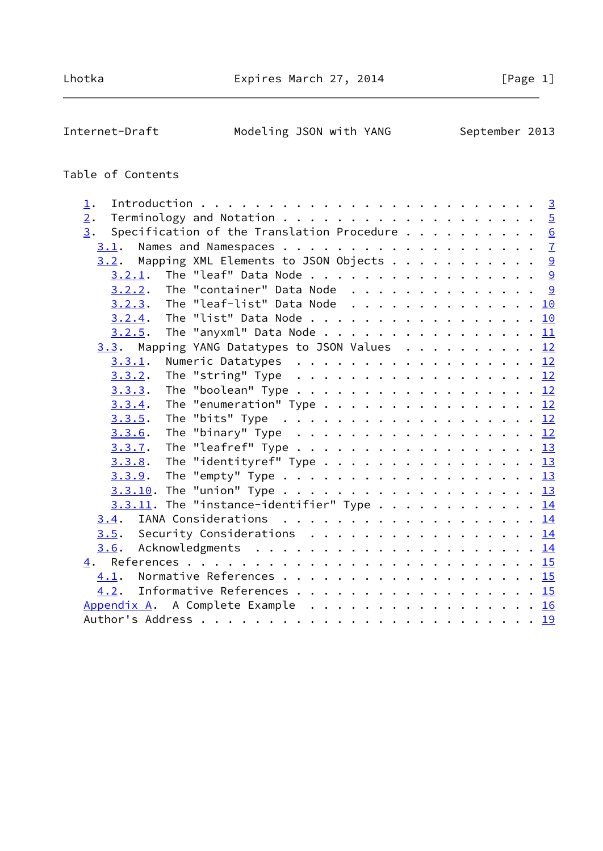Internet-Draft Modeling JSON with YANG September 2013

# Table of Contents

| $\perp$ .                                                                                     |  |
|-----------------------------------------------------------------------------------------------|--|
| 2.                                                                                            |  |
| Specification of the Translation Procedure $6$<br>3.                                          |  |
|                                                                                               |  |
| $3.2$ . Mapping XML Elements to JSON Objects 9                                                |  |
| $3.2.1$ . The "leaf" Data Node 9                                                              |  |
|                                                                                               |  |
| <u>3.2.3</u> . The "leaf-list" Data Node <u>10</u>                                            |  |
| $3.2.4$ . The "list" Data Node 10                                                             |  |
| $3.2.5$ . The "anyxml" Data Node 11                                                           |  |
| 3.3. Mapping YANG Datatypes to JSON Values 12                                                 |  |
| Numeric Datatypes 12<br>3.3.1.                                                                |  |
| <u>3.3.2</u> . The "string" Type <u>12</u>                                                    |  |
| $3.3.3.$ The "boolean" Type 12                                                                |  |
| The "enumeration" Type 12<br>3.3.4.                                                           |  |
| 3.3.5.                                                                                        |  |
| The "binary" Type $\ldots \ldots \ldots \ldots \ldots \ldots \ldots \underline{12}$<br>3.3.6. |  |
| The "leafref" Type $\ldots \ldots \ldots \ldots \ldots \ldots \ldots \frac{13}{2}$<br>3.3.7.  |  |
| $3.3.8$ . The "identityref" Type 13                                                           |  |
| <u>3.3.9</u> . The "empty" Type <u>13</u>                                                     |  |
|                                                                                               |  |
| $3.3.11$ . The "instance-identifier" Type 14                                                  |  |
|                                                                                               |  |
| <u>3.5</u> . Security Considerations <u>14</u>                                                |  |
|                                                                                               |  |
|                                                                                               |  |
| 4.1. Normative References 15                                                                  |  |
| 4.2. Informative References 15                                                                |  |
| Appendix A. A Complete Example 16                                                             |  |
|                                                                                               |  |
|                                                                                               |  |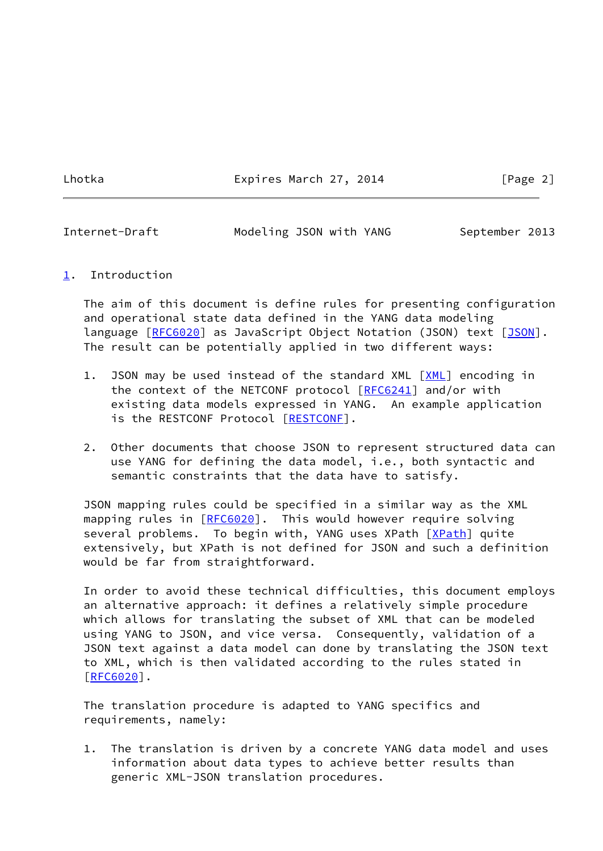Lhotka **Expires March 27, 2014** [Page 2]

<span id="page-2-1"></span>Internet-Draft Modeling JSON with YANG September 2013

#### <span id="page-2-0"></span>[1](#page-2-0). Introduction

 The aim of this document is define rules for presenting configuration and operational state data defined in the YANG data modeling language [\[RFC6020](https://datatracker.ietf.org/doc/pdf/rfc6020)] as JavaScript Object Notation (JSON) text [\[JSON](#page-16-1)]. The result can be potentially applied in two different ways:

- 1. JSON may be used instead of the standard XML [\[XML](#page-16-2)] encoding in the context of the NETCONF protocol [\[RFC6241](https://datatracker.ietf.org/doc/pdf/rfc6241)] and/or with existing data models expressed in YANG. An example application is the RESTCONF Protocol [\[RESTCONF](#page-16-3)].
- 2. Other documents that choose JSON to represent structured data can use YANG for defining the data model, i.e., both syntactic and semantic constraints that the data have to satisfy.

 JSON mapping rules could be specified in a similar way as the XML mapping rules in [\[RFC6020](https://datatracker.ietf.org/doc/pdf/rfc6020)]. This would however require solving several problems. To begin with, YANG uses XPath [[XPath\]](#page-16-4) quite extensively, but XPath is not defined for JSON and such a definition would be far from straightforward.

 In order to avoid these technical difficulties, this document employs an alternative approach: it defines a relatively simple procedure which allows for translating the subset of XML that can be modeled using YANG to JSON, and vice versa. Consequently, validation of a JSON text against a data model can done by translating the JSON text to XML, which is then validated according to the rules stated in [\[RFC6020](https://datatracker.ietf.org/doc/pdf/rfc6020)].

 The translation procedure is adapted to YANG specifics and requirements, namely:

 1. The translation is driven by a concrete YANG data model and uses information about data types to achieve better results than generic XML-JSON translation procedures.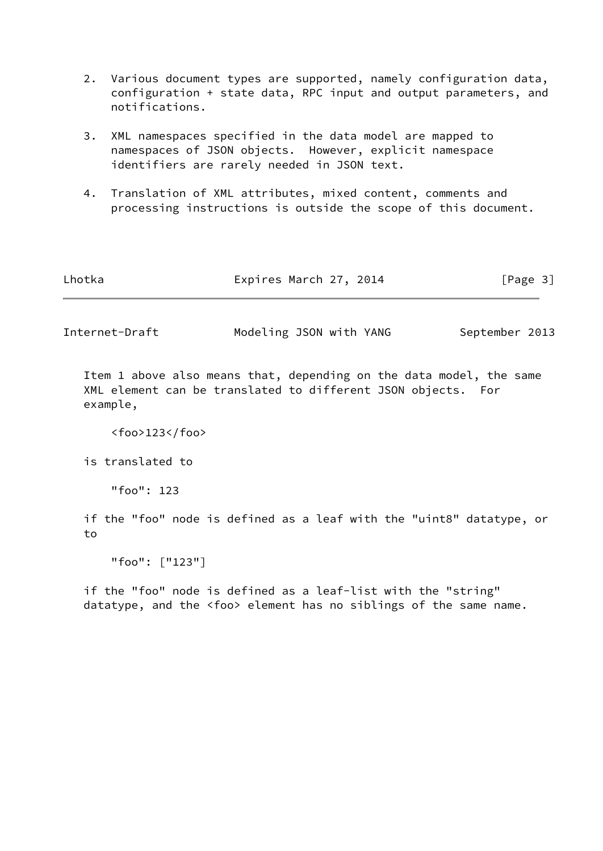- 2. Various document types are supported, namely configuration data, configuration + state data, RPC input and output parameters, and notifications.
- 3. XML namespaces specified in the data model are mapped to namespaces of JSON objects. However, explicit namespace identifiers are rarely needed in JSON text.
- 4. Translation of XML attributes, mixed content, comments and processing instructions is outside the scope of this document.

| Lhotka | Expires March 27, 2014 | [Page 3] |
|--------|------------------------|----------|
|        |                        |          |

Internet-Draft Modeling JSON with YANG September 2013

 Item 1 above also means that, depending on the data model, the same XML element can be translated to different JSON objects. For example,

<foo>123</foo>

is translated to

"foo": 123

 if the "foo" node is defined as a leaf with the "uint8" datatype, or to

"foo": ["123"]

 if the "foo" node is defined as a leaf-list with the "string" datatype, and the <foo> element has no siblings of the same name.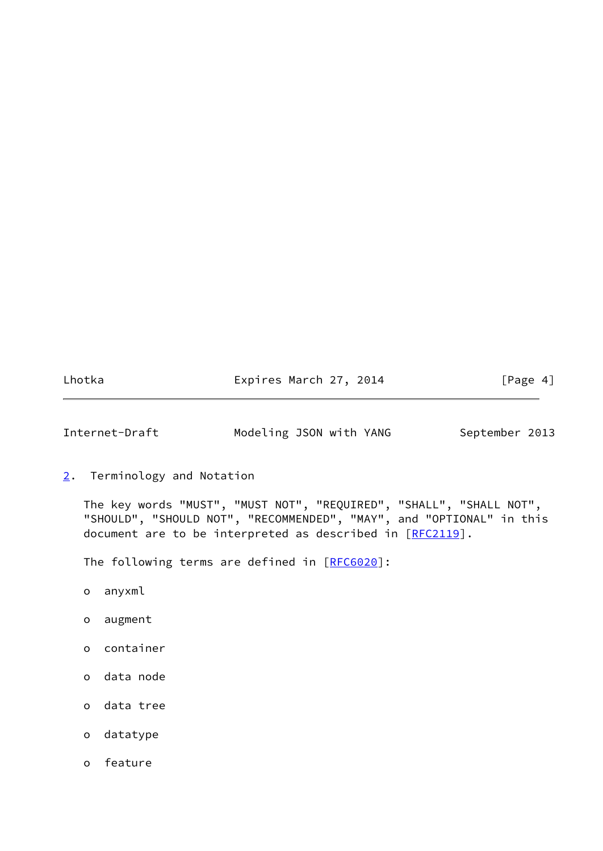Lhotka **Expires March 27, 2014** [Page 4]

<span id="page-4-1"></span>Internet-Draft Modeling JSON with YANG September 2013

<span id="page-4-0"></span>[2](#page-4-0). Terminology and Notation

 The key words "MUST", "MUST NOT", "REQUIRED", "SHALL", "SHALL NOT", "SHOULD", "SHOULD NOT", "RECOMMENDED", "MAY", and "OPTIONAL" in this document are to be interpreted as described in [\[RFC2119](https://datatracker.ietf.org/doc/pdf/rfc2119)].

The following terms are defined in [[RFC6020\]](https://datatracker.ietf.org/doc/pdf/rfc6020):

- o anyxml
- o augment
- o container
- o data node
- o data tree
- o datatype
- o feature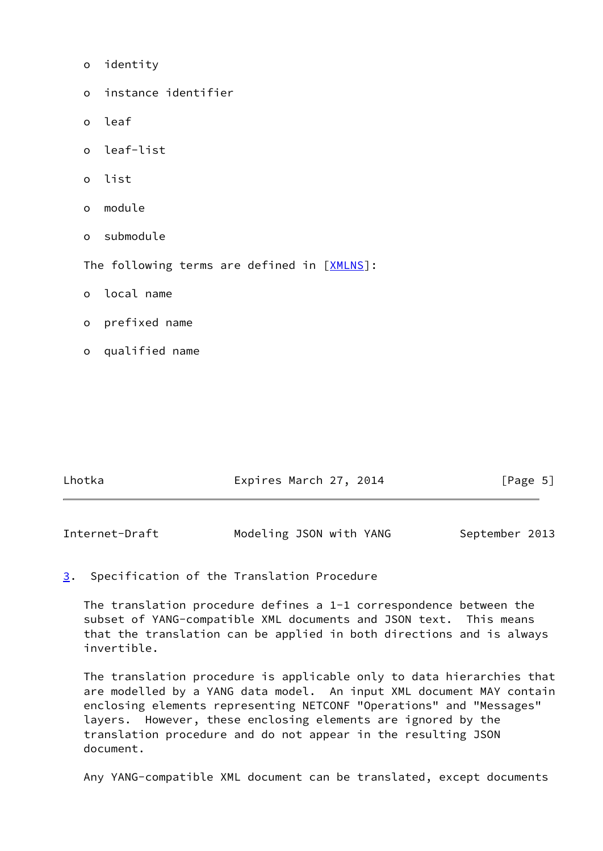| $\mathsf{o}\,$ | identity                                    |
|----------------|---------------------------------------------|
| $\circ$        | instance identifier                         |
| $\circ$        | leaf                                        |
| $\Omega$       | leaf-list                                   |
| $\circ$        | list                                        |
| $\circ$        | module                                      |
| $\circ$        | submodule                                   |
|                | The following terms are defined in [XMLNS]: |
| $\circ$        | local name                                  |
| $\circ$        | prefixed name                               |
| o              | qualified name                              |
|                |                                             |

| Lhotka | Expires March 27, 2014 | [Page 5] |
|--------|------------------------|----------|
|        |                        |          |

<span id="page-5-1"></span>

| Internet-Draft | Modeling JSON with YANG | September 2013 |
|----------------|-------------------------|----------------|
|----------------|-------------------------|----------------|

# <span id="page-5-0"></span>[3](#page-5-0). Specification of the Translation Procedure

 The translation procedure defines a 1-1 correspondence between the subset of YANG-compatible XML documents and JSON text. This means that the translation can be applied in both directions and is always invertible.

 The translation procedure is applicable only to data hierarchies that are modelled by a YANG data model. An input XML document MAY contain enclosing elements representing NETCONF "Operations" and "Messages" layers. However, these enclosing elements are ignored by the translation procedure and do not appear in the resulting JSON document.

Any YANG-compatible XML document can be translated, except documents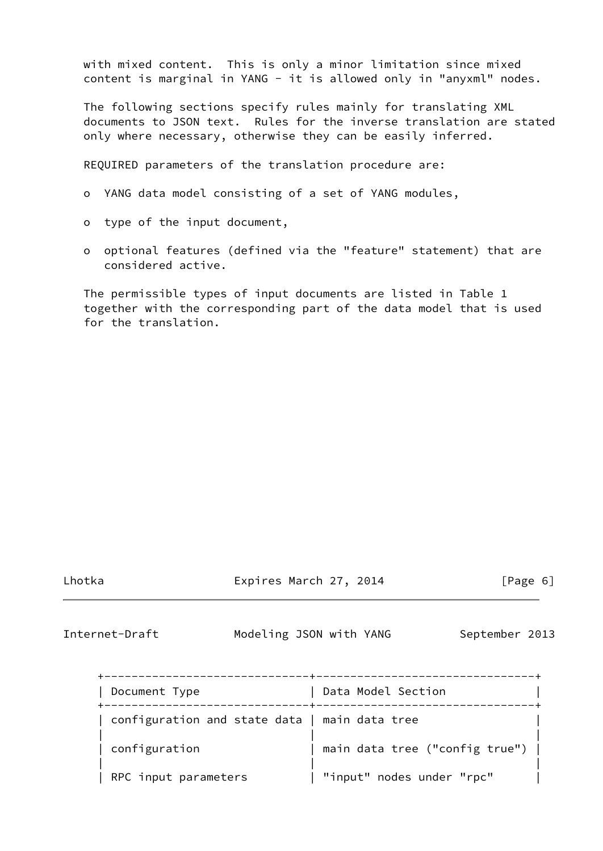with mixed content. This is only a minor limitation since mixed content is marginal in YANG - it is allowed only in "anyxml" nodes.

 The following sections specify rules mainly for translating XML documents to JSON text. Rules for the inverse translation are stated only where necessary, otherwise they can be easily inferred.

REQUIRED parameters of the translation procedure are:

- o YANG data model consisting of a set of YANG modules,
- o type of the input document,
- o optional features (defined via the "feature" statement) that are considered active.

 The permissible types of input documents are listed in Table 1 together with the corresponding part of the data model that is used for the translation.

Expires March 27, 2014 [Page 6]

<span id="page-6-0"></span>Internet-Draft Modeling JSON with YANG September 2013

| Document Type                                 | Data Model Section             |
|-----------------------------------------------|--------------------------------|
| configuration and state data   main data tree |                                |
| configuration                                 | main data tree ("config true") |
| RPC input parameters                          | "input" nodes under "rpc"      |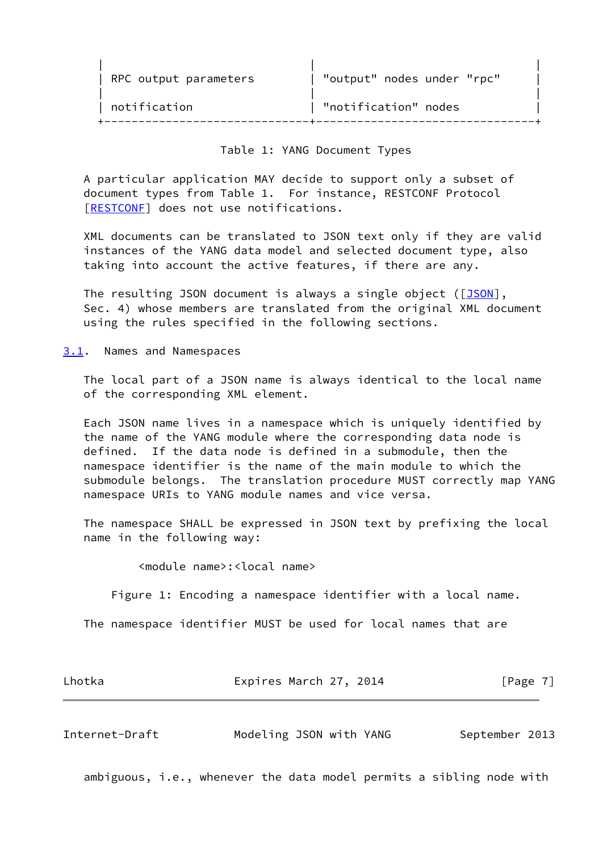| RPC output parameters | "output" nodes under "rpc" |  |
|-----------------------|----------------------------|--|
| notification          | "notification" nodes       |  |

### Table 1: YANG Document Types

 A particular application MAY decide to support only a subset of document types from Table 1. For instance, RESTCONF Protocol [\[RESTCONF](#page-16-3)] does not use notifications.

 XML documents can be translated to JSON text only if they are valid instances of the YANG data model and selected document type, also taking into account the active features, if there are any.

The resulting JSON document is always a single object ([\[JSON](#page-16-1)], Sec. 4) whose members are translated from the original XML document using the rules specified in the following sections.

<span id="page-7-0"></span>[3.1](#page-7-0). Names and Namespaces

 The local part of a JSON name is always identical to the local name of the corresponding XML element.

 Each JSON name lives in a namespace which is uniquely identified by the name of the YANG module where the corresponding data node is defined. If the data node is defined in a submodule, then the namespace identifier is the name of the main module to which the submodule belongs. The translation procedure MUST correctly map YANG namespace URIs to YANG module names and vice versa.

 The namespace SHALL be expressed in JSON text by prefixing the local name in the following way:

<module name>:<local name>

Figure 1: Encoding a namespace identifier with a local name.

The namespace identifier MUST be used for local names that are

| Lhotka | Expires March 27, 2014 | [Page $7$ ] |
|--------|------------------------|-------------|
|        |                        |             |

Internet-Draft Modeling JSON with YANG September 2013

ambiguous, i.e., whenever the data model permits a sibling node with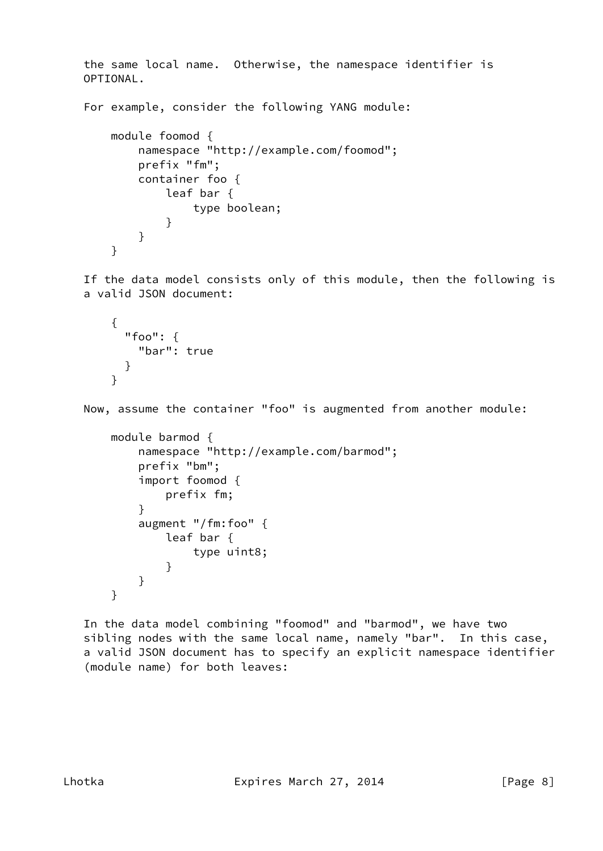the same local name. Otherwise, the namespace identifier is OPTIONAL.

For example, consider the following YANG module:

```
 module foomod {
           namespace "http://example.com/foomod";
           prefix "fm";
           container foo {
              leaf bar {
                  type boolean;
 }
 }
       }
```
 If the data model consists only of this module, then the following is a valid JSON document:

```
 {
   "foo": {
     "bar": true
   }
 }
```
Now, assume the container "foo" is augmented from another module:

```
 module barmod {
          namespace "http://example.com/barmod";
          prefix "bm";
          import foomod {
              prefix fm;
 }
          augment "/fm:foo" {
              leaf bar {
                 type uint8;
 }
 }
       }
```
 In the data model combining "foomod" and "barmod", we have two sibling nodes with the same local name, namely "bar". In this case, a valid JSON document has to specify an explicit namespace identifier (module name) for both leaves: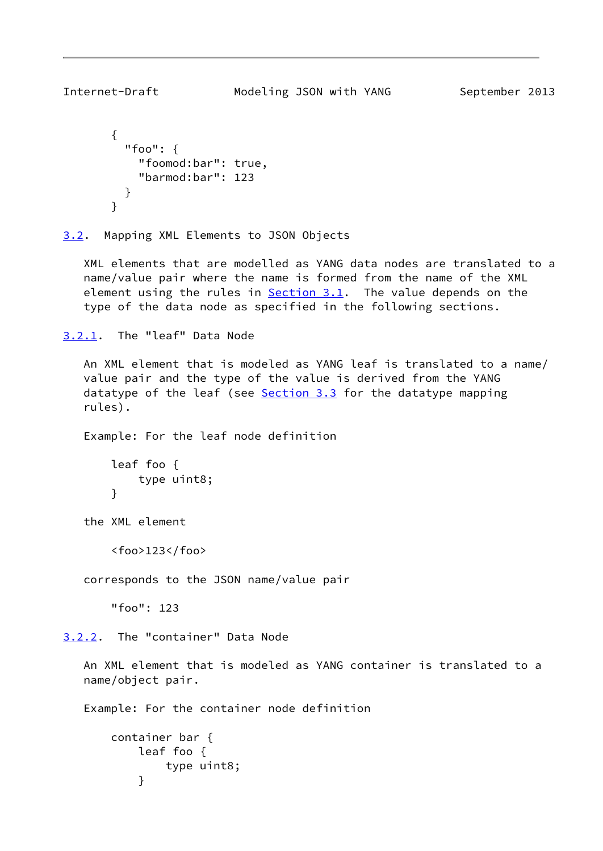```
 "foo": {
     "foomod:bar": true,
     "barmod:bar": 123
   }
 }
```
<span id="page-9-0"></span>[3.2](#page-9-0). Mapping XML Elements to JSON Objects

 XML elements that are modelled as YANG data nodes are translated to a name/value pair where the name is formed from the name of the XML element using the rules in  $Section 3.1$ . The value depends on the type of the data node as specified in the following sections.

```
3.2.1. The "leaf" Data Node
```
 An XML element that is modeled as YANG leaf is translated to a name/ value pair and the type of the value is derived from the YANG datatype of the leaf (see [Section 3.3](#page-12-1) for the datatype mapping rules).

Example: For the leaf node definition

```
 leaf foo {
     type uint8;
 }
```
the XML element

<foo>123</foo>

corresponds to the JSON name/value pair

"foo": 123

<span id="page-9-3"></span>[3.2.2](#page-9-3). The "container" Data Node

 An XML element that is modeled as YANG container is translated to a name/object pair.

Example: For the container node definition

```
 container bar {
          leaf foo {
              type uint8;
 }
```
<span id="page-9-1"></span>

{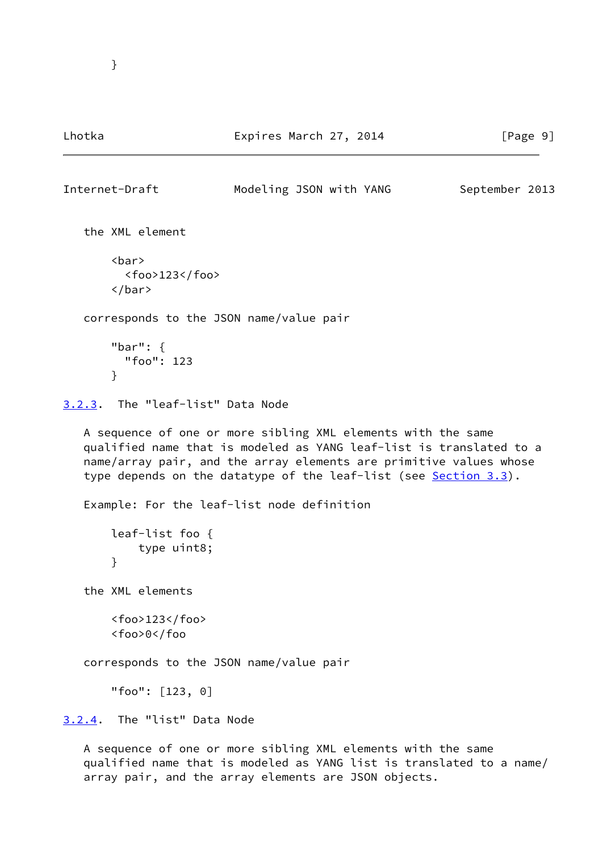## Lhotka **Expires March 27, 2014** [Page 9]

```
Internet-Draft Modeling JSON with YANG September 2013
   the XML element
       <bar>
         <foo>123</foo>
       </bar>
   corresponds to the JSON name/value pair
       "bar": {
         "foo": 123
       }
3.2.3. The "leaf-list" Data Node
   A sequence of one or more sibling XML elements with the same
   qualified name that is modeled as YANG leaf-list is translated to a
   name/array pair, and the array elements are primitive values whose
  Section 3.3).
   Example: For the leaf-list node definition
       leaf-list foo {
           type uint8;
       }
   the XML elements
       <foo>123</foo>
       <foo>0</foo
   corresponds to the JSON name/value pair
       "foo": [123, 0]
3.2.4. The "list" Data Node
   A sequence of one or more sibling XML elements with the same
```
<span id="page-10-2"></span>qualified name that is modeled as YANG list is translated to a name/

array pair, and the array elements are JSON objects.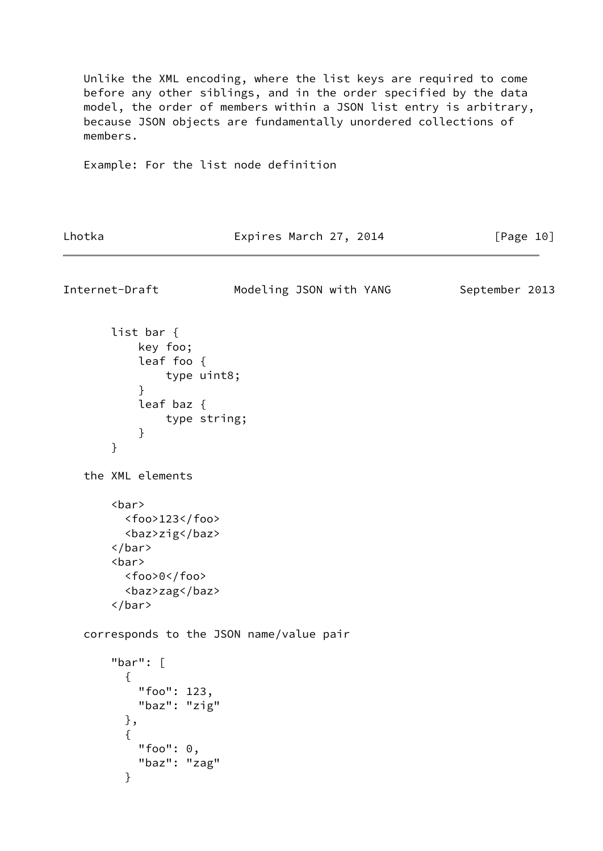Unlike the XML encoding, where the list keys are required to come before any other siblings, and in the order specified by the data model, the order of members within a JSON list entry is arbitrary, because JSON objects are fundamentally unordered collections of members.

Example: For the list node definition

Lhotka **Expires March 27, 2014** [Page 10]

<span id="page-11-0"></span>Internet-Draft Modeling JSON with YANG September 2013 list bar { key foo; leaf foo { type uint8; } leaf baz { type string; } } the XML elements <bar> <foo>123</foo> <baz>zig</baz> </bar> <bar> <foo>0</foo> <baz>zag</baz> </bar> corresponds to the JSON name/value pair "bar": [  $\{$  "foo": 123, "baz": "zig" },  $\{$  "foo": 0, "baz": "zag" }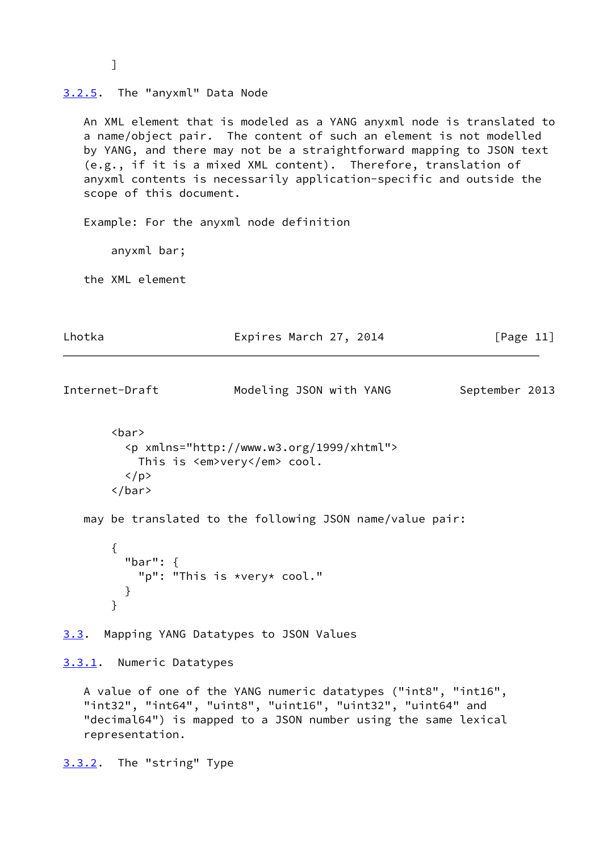<span id="page-12-2"></span><span id="page-12-0"></span>

| 3.2.5. The "anyxml" Data Node             |                                                                                                                                                                                                                                                                                                                                                               |                |
|-------------------------------------------|---------------------------------------------------------------------------------------------------------------------------------------------------------------------------------------------------------------------------------------------------------------------------------------------------------------------------------------------------------------|----------------|
| scope of this document.                   | An XML element that is modeled as a YANG anyxml node is translated to<br>a name/object pair. The content of such an element is not modelled<br>by YANG, and there may not be a straightforward mapping to JSON text<br>(e.g., if it is a mixed XML content). Therefore, translation of<br>anyxml contents is necessarily application-specific and outside the |                |
|                                           | Example: For the anyxml node definition                                                                                                                                                                                                                                                                                                                       |                |
| anyxml bar;                               |                                                                                                                                                                                                                                                                                                                                                               |                |
| the XML element                           |                                                                                                                                                                                                                                                                                                                                                               |                |
| Lhotka                                    | Expires March 27, 2014                                                                                                                                                                                                                                                                                                                                        | [Page $11$ ]   |
| Internet-Draft                            | Modeling JSON with YANG                                                                                                                                                                                                                                                                                                                                       | September 2013 |
| $bar$<br>$\langle$ /p><br>$\langle$ /bar> | <p xmlns="http://www.w3.org/1999/xhtml"><br/>This is <em>very</em> cool.</p>                                                                                                                                                                                                                                                                                  |                |
|                                           | may be translated to the following JSON name/value pair:                                                                                                                                                                                                                                                                                                      |                |
| ₹<br>"bar": $\{$<br>}<br>$\mathcal{F}$    | "p": "This is *very* cool."                                                                                                                                                                                                                                                                                                                                   |                |
| <u>3.3</u> .                              | Mapping YANG Datatypes to JSON Values                                                                                                                                                                                                                                                                                                                         |                |
| 3.3.1. Numeric Datatypes                  |                                                                                                                                                                                                                                                                                                                                                               |                |
| representation.                           | A value of one of the YANG numeric datatypes ("int8", "int16",<br>"int32", "int64", "uint8", "uint16", "uint32", "uint64" and<br>"decimal64") is mapped to a JSON number using the same lexical                                                                                                                                                               |                |

<span id="page-12-4"></span><span id="page-12-3"></span><span id="page-12-1"></span>[3.3.2](#page-12-4). The "string" Type

]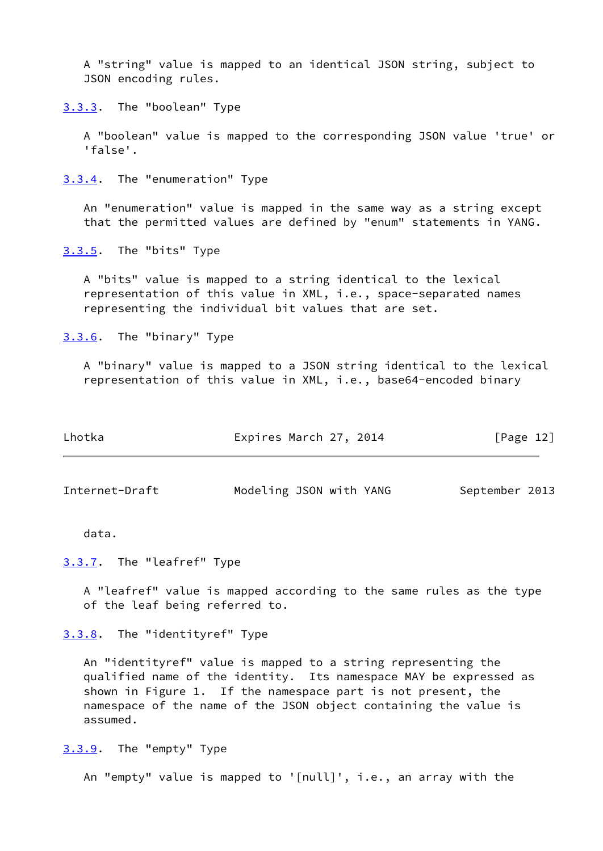A "string" value is mapped to an identical JSON string, subject to JSON encoding rules.

<span id="page-13-0"></span>[3.3.3](#page-13-0). The "boolean" Type

 A "boolean" value is mapped to the corresponding JSON value 'true' or 'false'.

<span id="page-13-1"></span>[3.3.4](#page-13-1). The "enumeration" Type

 An "enumeration" value is mapped in the same way as a string except that the permitted values are defined by "enum" statements in YANG.

<span id="page-13-2"></span>[3.3.5](#page-13-2). The "bits" Type

 A "bits" value is mapped to a string identical to the lexical representation of this value in XML, i.e., space-separated names representing the individual bit values that are set.

<span id="page-13-3"></span>[3.3.6](#page-13-3). The "binary" Type

 A "binary" value is mapped to a JSON string identical to the lexical representation of this value in XML, i.e., base64-encoded binary

| Lhotka | Expires March 27, 2014 | [Page 12] |
|--------|------------------------|-----------|
|        |                        |           |

<span id="page-13-5"></span>Internet-Draft Modeling JSON with YANG September 2013

data.

<span id="page-13-4"></span>[3.3.7](#page-13-4). The "leafref" Type

 A "leafref" value is mapped according to the same rules as the type of the leaf being referred to.

<span id="page-13-6"></span>[3.3.8](#page-13-6). The "identityref" Type

 An "identityref" value is mapped to a string representing the qualified name of the identity. Its namespace MAY be expressed as shown in Figure 1. If the namespace part is not present, the namespace of the name of the JSON object containing the value is assumed.

<span id="page-13-7"></span>[3.3.9](#page-13-7). The "empty" Type

An "empty" value is mapped to '[null]', i.e., an array with the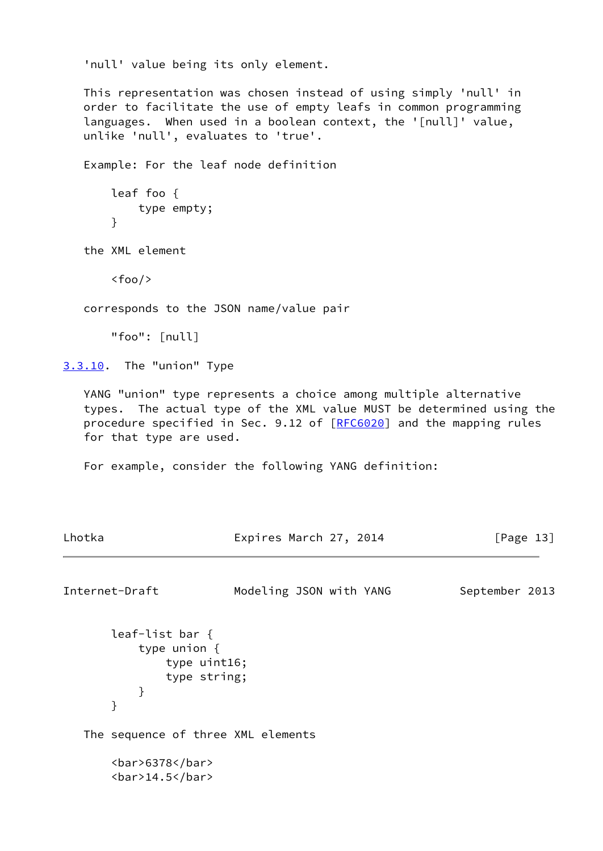'null' value being its only element.

 This representation was chosen instead of using simply 'null' in order to facilitate the use of empty leafs in common programming languages. When used in a boolean context, the '[null]' value, unlike 'null', evaluates to 'true'.

Example: For the leaf node definition

```
 leaf foo {
     type empty;
 }
```
the XML element

 $<$ foo $/$ 

corresponds to the JSON name/value pair

"foo": [null]

<span id="page-14-0"></span>[3.3.10](#page-14-0). The "union" Type

 YANG "union" type represents a choice among multiple alternative types. The actual type of the XML value MUST be determined using the procedure specified in Sec. 9.12 of [\[RFC6020](https://datatracker.ietf.org/doc/pdf/rfc6020)] and the mapping rules for that type are used.

For example, consider the following YANG definition:

```
Internet-Draft Modeling JSON with YANG September 2013
       leaf-list bar {
           type union {
              type uint16;
              type string;
 }
       }
   The sequence of three XML elements
       <bar>6378</bar>
       <bar>14.5</bar>
```
Lhotka **Expires March 27, 2014** [Page 13]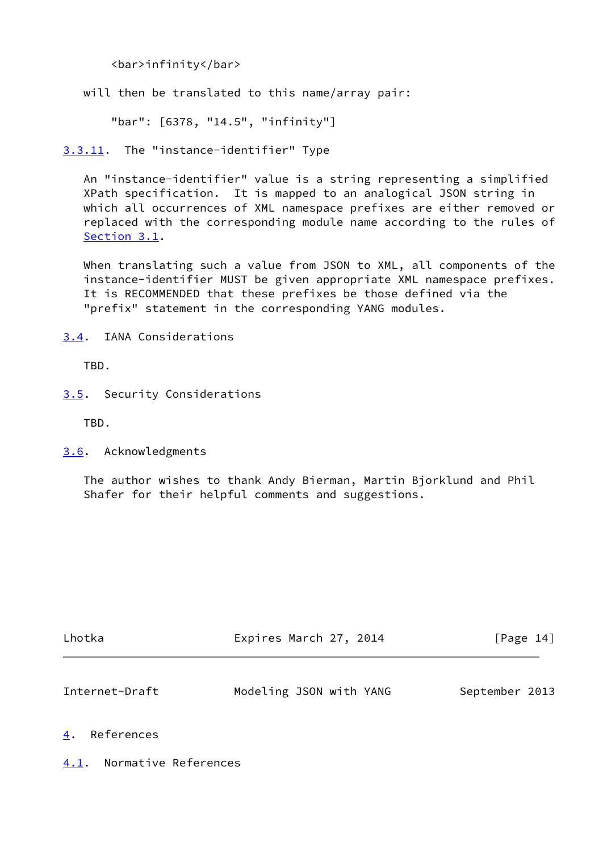<bar>infinity</bar>

will then be translated to this name/array pair:

"bar": [6378, "14.5", "infinity"]

<span id="page-15-0"></span>[3.3.11](#page-15-0). The "instance-identifier" Type

 An "instance-identifier" value is a string representing a simplified XPath specification. It is mapped to an analogical JSON string in which all occurrences of XML namespace prefixes are either removed or replaced with the corresponding module name according to the rules of [Section 3.1](#page-7-0).

 When translating such a value from JSON to XML, all components of the instance-identifier MUST be given appropriate XML namespace prefixes. It is RECOMMENDED that these prefixes be those defined via the "prefix" statement in the corresponding YANG modules.

<span id="page-15-1"></span>[3.4](#page-15-1). IANA Considerations

TBD.

<span id="page-15-2"></span>[3.5](#page-15-2). Security Considerations

TBD.

<span id="page-15-3"></span>[3.6](#page-15-3). Acknowledgments

 The author wishes to thank Andy Bierman, Martin Bjorklund and Phil Shafer for their helpful comments and suggestions.

<span id="page-15-5"></span>

| Lhotka         | Expires March 27, 2014  | [Page 14]      |
|----------------|-------------------------|----------------|
| Internet-Draft | Modeling JSON with YANG | September 2013 |

### <span id="page-15-4"></span>[4](#page-15-4). References

<span id="page-15-6"></span>[4.1](#page-15-6). Normative References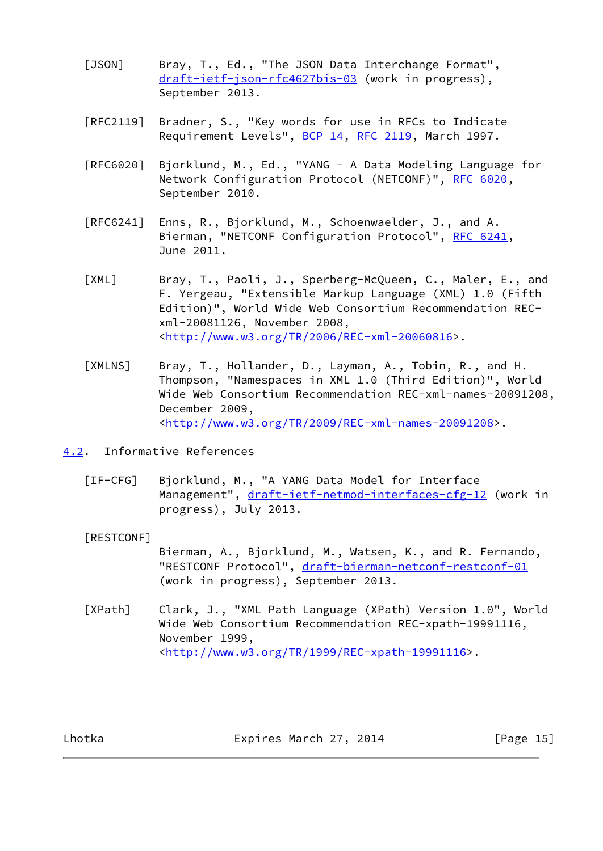- <span id="page-16-1"></span>[JSON] Bray, T., Ed., "The JSON Data Interchange Format", [draft-ietf-json-rfc4627bis-03](https://datatracker.ietf.org/doc/pdf/draft-ietf-json-rfc4627bis-03) (work in progress), September 2013.
- [RFC2119] Bradner, S., "Key words for use in RFCs to Indicate Requirement Levels", [BCP 14](https://datatracker.ietf.org/doc/pdf/bcp14), [RFC 2119](https://datatracker.ietf.org/doc/pdf/rfc2119), March 1997.
- [RFC6020] Bjorklund, M., Ed., "YANG A Data Modeling Language for Network Configuration Protocol (NETCONF)", [RFC 6020](https://datatracker.ietf.org/doc/pdf/rfc6020), September 2010.
- [RFC6241] Enns, R., Bjorklund, M., Schoenwaelder, J., and A. Bierman, "NETCONF Configuration Protocol", [RFC 6241](https://datatracker.ietf.org/doc/pdf/rfc6241), June 2011.
- <span id="page-16-2"></span> [XML] Bray, T., Paoli, J., Sperberg-McQueen, C., Maler, E., and F. Yergeau, "Extensible Markup Language (XML) 1.0 (Fifth Edition)", World Wide Web Consortium Recommendation REC xml-20081126, November 2008, <[http://www.w3.org/TR/2006/REC-xml-20060816>](http://www.w3.org/TR/2006/REC-xml-20060816).
- <span id="page-16-5"></span> [XMLNS] Bray, T., Hollander, D., Layman, A., Tobin, R., and H. Thompson, "Namespaces in XML 1.0 (Third Edition)", World Wide Web Consortium Recommendation REC-xml-names-20091208, December 2009, <[http://www.w3.org/TR/2009/REC-xml-names-20091208>](http://www.w3.org/TR/2009/REC-xml-names-20091208).
- <span id="page-16-6"></span><span id="page-16-0"></span>[4.2](#page-16-0). Informative References
	- [IF-CFG] Bjorklund, M., "A YANG Data Model for Interface Management", [draft-ietf-netmod-interfaces-cfg-12](https://datatracker.ietf.org/doc/pdf/draft-ietf-netmod-interfaces-cfg-12) (work in progress), July 2013.

<span id="page-16-3"></span>[RESTCONF]

 Bierman, A., Bjorklund, M., Watsen, K., and R. Fernando, "RESTCONF Protocol", [draft-bierman-netconf-restconf-01](https://datatracker.ietf.org/doc/pdf/draft-bierman-netconf-restconf-01) (work in progress), September 2013.

<span id="page-16-4"></span> [XPath] Clark, J., "XML Path Language (XPath) Version 1.0", World Wide Web Consortium Recommendation REC-xpath-19991116, November 1999, <[http://www.w3.org/TR/1999/REC-xpath-19991116>](http://www.w3.org/TR/1999/REC-xpath-19991116).

Lhotka **Expires March 27, 2014** [Page 15]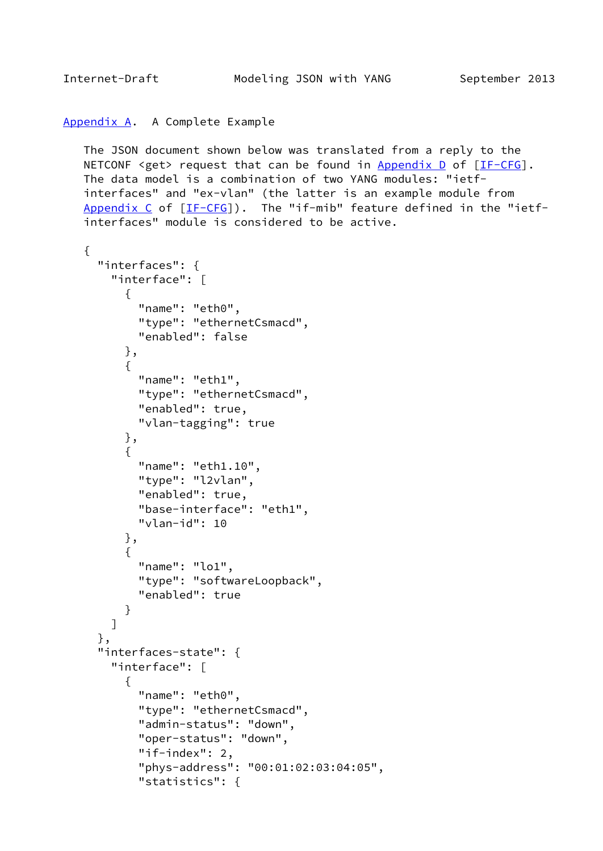# <span id="page-17-1"></span><span id="page-17-0"></span>[Appendix A.](#page-17-0) A Complete Example

 The JSON document shown below was translated from a reply to the NETCONF <get> request that can be found in Appendix  $D$  of  $[IF-CFG]$  $[IF-CFG]$ . The data model is a combination of two YANG modules: "ietf interfaces" and "ex-vlan" (the latter is an example module from Appendix  $C$  of  $[IF-CFG]$  $[IF-CFG]$  $[IF-CFG]$ ). The "if-mib" feature defined in the "ietfinterfaces" module is considered to be active.

```
 {
      "interfaces": {
        "interface": [
\{ "name": "eth0",
            "type": "ethernetCsmacd",
            "enabled": false
          },
\{ "name": "eth1",
            "type": "ethernetCsmacd",
            "enabled": true,
            "vlan-tagging": true
          },
\{ "name": "eth1.10",
            "type": "l2vlan",
            "enabled": true,
            "base-interface": "eth1",
            "vlan-id": 10
          },
\{"name": "lo1",
            "type": "softwareLoopback",
            "enabled": true
          }
        ]
      },
      "interfaces-state": {
        "interface": [
          {
            "name": "eth0",
            "type": "ethernetCsmacd",
            "admin-status": "down",
            "oper-status": "down",
            "if-index": 2,
            "phys-address": "00:01:02:03:04:05",
            "statistics": {
```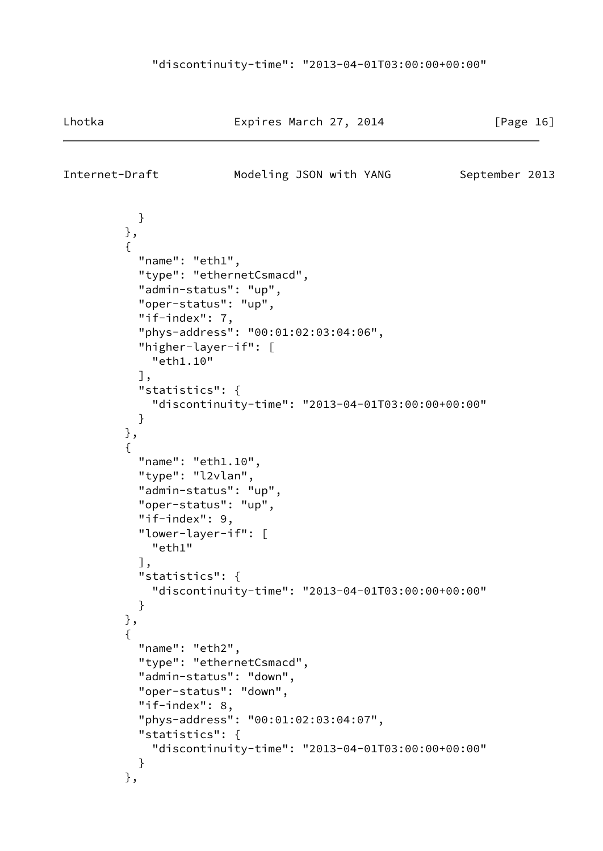Lhotka Expires March 27, 2014 [Page 16]

Internet-Draft Modeling JSON with YANG September 2013

```
 }
         },
\{"name": "eth1",
           "type": "ethernetCsmacd",
           "admin-status": "up",
           "oper-status": "up",
           "if-index": 7,
           "phys-address": "00:01:02:03:04:06",
           "higher-layer-if": [
             "eth1.10"
           ],
           "statistics": {
             "discontinuity-time": "2013-04-01T03:00:00+00:00"
 }
         },
         {
           "name": "eth1.10",
           "type": "l2vlan",
           "admin-status": "up",
           "oper-status": "up",
           "if-index": 9,
           "lower-layer-if": [
             "eth1"
           ],
           "statistics": {
             "discontinuity-time": "2013-04-01T03:00:00+00:00"
 }
         },
\{ "name": "eth2",
           "type": "ethernetCsmacd",
           "admin-status": "down",
           "oper-status": "down",
           "if-index": 8,
           "phys-address": "00:01:02:03:04:07",
           "statistics": {
             "discontinuity-time": "2013-04-01T03:00:00+00:00"
 }
         },
```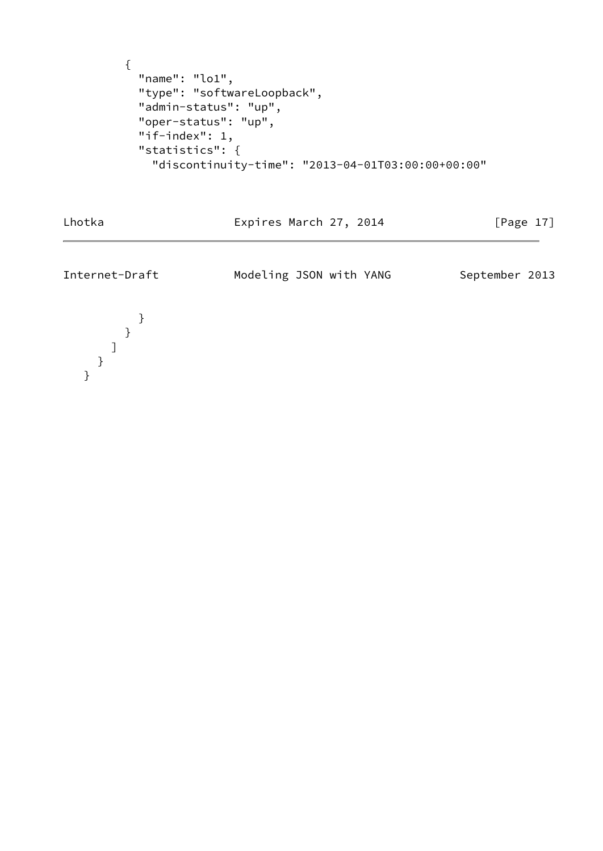```
 {
  "name": "lo1",
   "type": "softwareLoopback",
   "admin-status": "up",
   "oper-status": "up",
   "if-index": 1,
   "statistics": {
     "discontinuity-time": "2013-04-01T03:00:00+00:00"
```
Expires March 27, 2014 [Page 17]

Internet-Draft Modeling JSON with YANG September 2013

 } } ] } }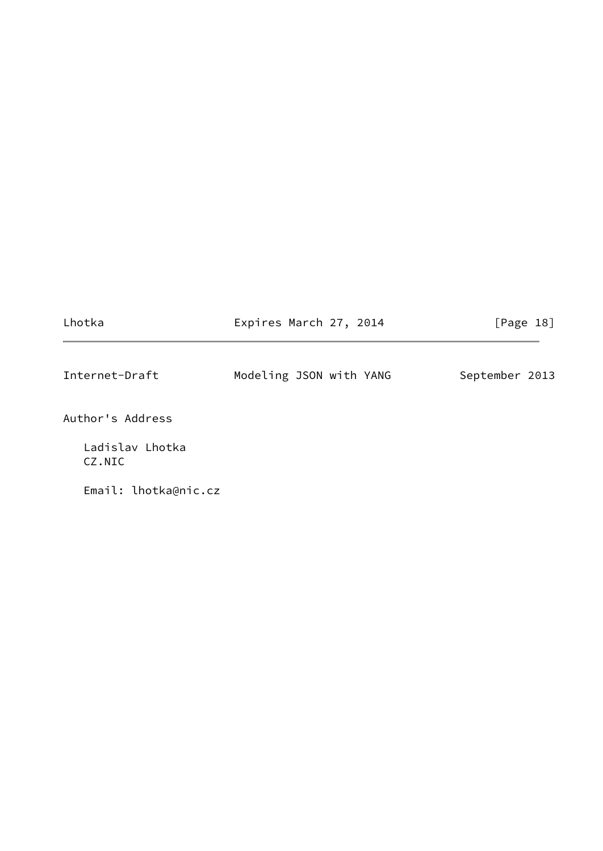<span id="page-20-0"></span>

| Lhotka                    | Expires March 27, 2014  | [Page 18]      |
|---------------------------|-------------------------|----------------|
| Internet-Draft            | Modeling JSON with YANG | September 2013 |
| Author's Address          |                         |                |
| Ladislav Lhotka<br>CZ.NIC |                         |                |
| Email: lhotka@nic.cz      |                         |                |